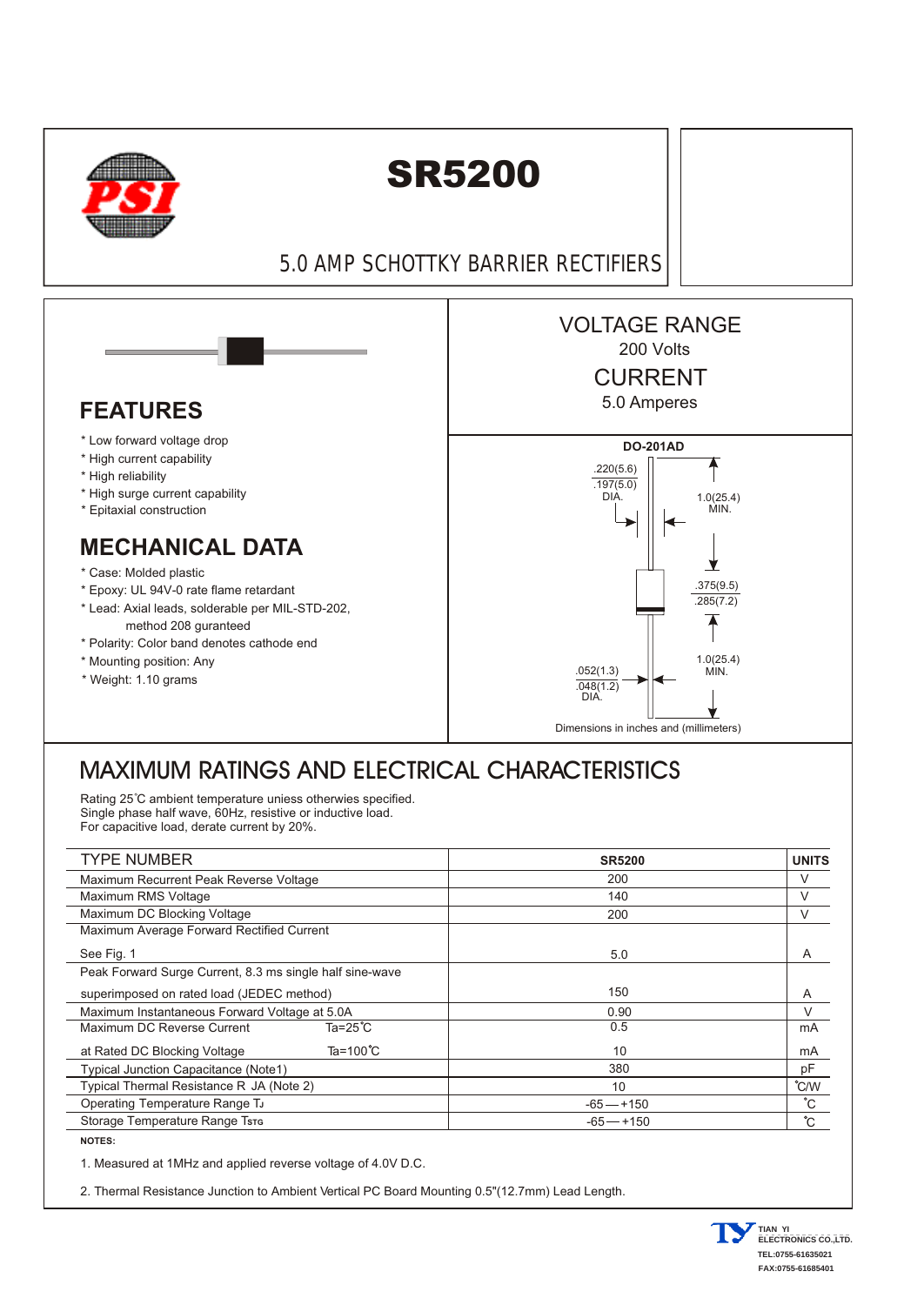

## SR5200

5.0 AMP SCHOTTKY BARRIER RECTIFIERS



## MAXIMUM RATINGS AND ELECTRICAL CHARACTERISTICS

Rating 25°C ambient temperature uniess otherwies specified. Single phase half wave, 60Hz, resistive or inductive load. For capacitive load, derate current by 20%.

| <b>TYPE NUMBER</b>                                       |                     | <b>SR5200</b> | <b>UNITS</b> |
|----------------------------------------------------------|---------------------|---------------|--------------|
| Maximum Recurrent Peak Reverse Voltage                   |                     | 200           | V            |
| Maximum RMS Voltage                                      |                     | 140           | $\vee$       |
| Maximum DC Blocking Voltage                              |                     | 200           | V            |
| Maximum Average Forward Rectified Current                |                     |               |              |
| See Fig. 1                                               |                     | 5.0           | A            |
| Peak Forward Surge Current, 8.3 ms single half sine-wave |                     |               |              |
| superimposed on rated load (JEDEC method)                |                     | 150           | A            |
| Maximum Instantaneous Forward Voltage at 5.0A            |                     | 0.90          | V            |
| Maximum DC Reverse Current                               | $Ta = 25^{\circ}C$  | 0.5           | mA           |
| at Rated DC Blocking Voltage                             | Ta=100 $^{\circ}$ C | 10            | mA           |
| <b>Typical Junction Capacitance (Note1)</b>              |                     | 380           | pF           |
| Typical Thermal Resistance R JA (Note 2)                 |                     | 10            | °C/W         |
| Operating Temperature Range TJ                           |                     | $-65 - +150$  | $^{\circ}$ C |
| Storage Temperature Range Tsrs                           |                     | $-65 - +150$  | $^{\circ}$ C |

**NOTES:**

l

1. Measured at 1MHz and applied reverse voltage of 4.0V D.C.

2. Thermal Resistance Junction to Ambient Vertical PC Board Mounting 0.5"(12.7mm) Lead Length.